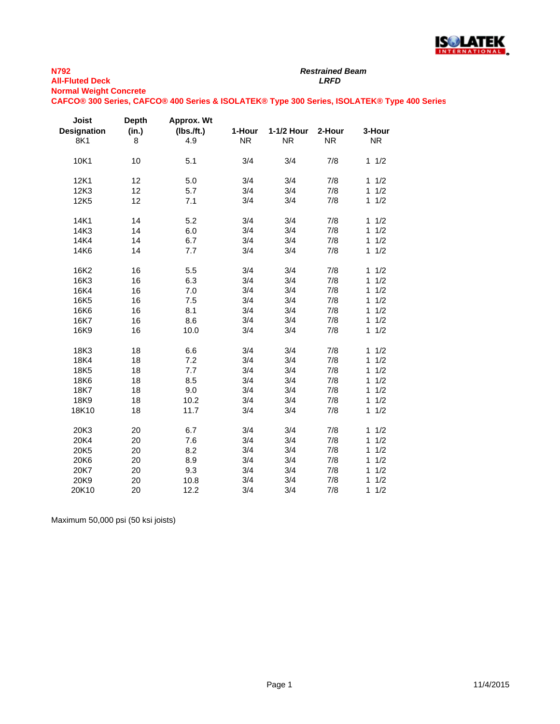

## **N792 All-Fluted Deck** *LRFD* **Normal Weight Concrete**

*Restrained Beam*

## **CAFCO® 300 Series, CAFCO® 400 Series & ISOLATEK® Type 300 Series, ISOLATEK® Type 400 Series**

| Joist<br><b>Designation</b><br>8K1 | <b>Depth</b><br>(in.)<br>8 | Approx. Wt<br>$(lbs.$ /ft.)<br>4.9 | 1-Hour<br><b>NR</b> | 1-1/2 Hour<br><b>NR</b> | 2-Hour<br><b>NR</b> | 3-Hour<br><b>NR</b> |
|------------------------------------|----------------------------|------------------------------------|---------------------|-------------------------|---------------------|---------------------|
| 10K1                               | 10                         | 5.1                                | 3/4                 | 3/4                     | 7/8                 | $\mathbf{1}$<br>1/2 |
| 12K1                               | 12                         | 5.0                                | 3/4                 | 3/4                     | 7/8                 | 1/2<br>1            |
| 12K3                               | 12                         | 5.7                                | 3/4                 | 3/4                     | 7/8                 | 1/2<br>$\mathbf{1}$ |
| 12K5                               | 12                         | 7.1                                | 3/4                 | 3/4                     | 7/8                 | 1/2<br>1            |
| 14K1                               | 14                         | 5.2                                | 3/4                 | 3/4                     | 7/8                 | 1/2<br>$\mathbf{1}$ |
| 14K3                               | 14                         | 6.0                                | 3/4                 | 3/4                     | 7/8                 | 1/2<br>$\mathbf{1}$ |
| 14K4                               | 14                         | 6.7                                | 3/4                 | 3/4                     | 7/8                 | $\mathbf{1}$<br>1/2 |
| 14K6                               | 14                         | 7.7                                | 3/4                 | 3/4                     | 7/8                 | 1/2<br>1            |
| 16K2                               | 16                         | 5.5                                | 3/4                 | 3/4                     | 7/8                 | 1/2<br>$\mathbf{1}$ |
| 16K3                               | 16                         | 6.3                                | 3/4                 | 3/4                     | 7/8                 | 1/2<br>$\mathbf{1}$ |
| 16K4                               | 16                         | 7.0                                | 3/4                 | 3/4                     | 7/8                 | 1<br>1/2            |
| 16K5                               | 16                         | 7.5                                | 3/4                 | 3/4                     | 7/8                 | 1/2<br>1            |
| 16K6                               | 16                         | 8.1                                | 3/4                 | 3/4                     | 7/8                 | $\mathbf{1}$<br>1/2 |
| 16K7                               | 16                         | 8.6                                | 3/4                 | 3/4                     | 7/8                 | 1/2<br>1            |
| 16K9                               | 16                         | 10.0                               | 3/4                 | 3/4                     | 7/8                 | $\mathbf{1}$<br>1/2 |
| 18K3                               | 18                         | 6.6                                | 3/4                 | 3/4                     | 7/8                 | 1/2<br>$\mathbf{1}$ |
| 18K4                               | 18                         | 7.2                                | 3/4                 | 3/4                     | 7/8                 | 1/2<br>1            |
| 18K5                               | 18                         | 7.7                                | 3/4                 | 3/4                     | 7/8                 | 1<br>1/2            |
| 18K6                               | 18                         | 8.5                                | 3/4                 | 3/4                     | 7/8                 | 1/2<br>1            |
| 18K7                               | 18                         | 9.0                                | 3/4                 | 3/4                     | 7/8                 | 1<br>1/2            |
| 18K9                               | 18                         | 10.2                               | 3/4                 | 3/4                     | 7/8                 | 1/2<br>1            |
| 18K10                              | 18                         | 11.7                               | 3/4                 | 3/4                     | 7/8                 | 1/2<br>1            |
| 20K3                               | 20                         | 6.7                                | 3/4                 | 3/4                     | 7/8                 | 1/2<br>1            |
| 20K4                               | 20                         | 7.6                                | 3/4                 | 3/4                     | 7/8                 | 1/2<br>$\mathbf{1}$ |
| 20K5                               | 20                         | 8.2                                | 3/4                 | 3/4                     | 7/8                 | 1/2<br>1            |
| 20K6                               | 20                         | 8.9                                | 3/4                 | 3/4                     | 7/8                 | 1/2<br>1            |
| 20K7                               | 20                         | 9.3                                | 3/4                 | 3/4                     | 7/8                 | 1/2<br>1            |
| 20K9                               | 20                         | 10.8                               | 3/4                 | 3/4                     | 7/8                 | 1<br>1/2            |
| 20K10                              | 20                         | 12.2                               | 3/4                 | 3/4                     | 7/8                 | 1<br>1/2            |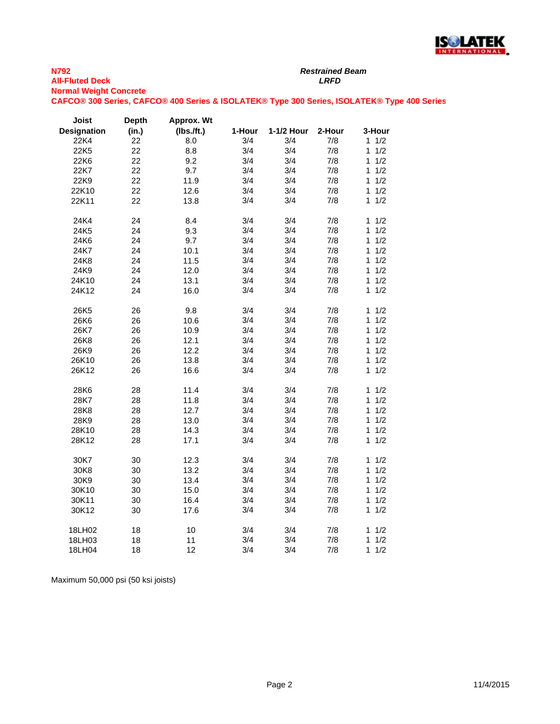

*Restrained Beam*

**Normal Weight Concrete**

**CAFCO® 300 Series, CAFCO® 400 Series & ISOLATEK® Type 300 Series, ISOLATEK® Type 400 Series**

| Joist              | <b>Depth</b> | Approx. Wt |        |            |        |                     |
|--------------------|--------------|------------|--------|------------|--------|---------------------|
| <b>Designation</b> | (in.)        | (Ibs./ft.) | 1-Hour | 1-1/2 Hour | 2-Hour | 3-Hour              |
| 22K4               | 22           | 8.0        | 3/4    | 3/4        | 7/8    | 1/2<br>$\mathbf{1}$ |
| 22K5               | 22           | 8.8        | 3/4    | 3/4        | 7/8    | 1/2<br>$\mathbf{1}$ |
| 22K6               | 22           | 9.2        | 3/4    | 3/4        | 7/8    | 1/2<br>1            |
| 22K7               | 22           | 9.7        | 3/4    | 3/4        | 7/8    | 1/2<br>1            |
| 22K9               | 22           | 11.9       | 3/4    | 3/4        | 7/8    | 1/2<br>1            |
| 22K10              | 22           | 12.6       | 3/4    | 3/4        | 7/8    | 1/2<br>1            |
| 22K11              | 22           | 13.8       | 3/4    | 3/4        | 7/8    | 1/2<br>1            |
| 24K4               | 24           | 8.4        | 3/4    | 3/4        | 7/8    | 1/2<br>$\mathbf{1}$ |
| 24K5               | 24           | 9.3        | 3/4    | 3/4        | 7/8    | 1/2<br>1            |
| 24K6               | 24           | 9.7        | 3/4    | 3/4        | 7/8    | 1/2<br>1            |
| 24K7               | 24           | 10.1       | 3/4    | 3/4        | 7/8    | 1/2<br>$\mathbf{1}$ |
| 24K8               | 24           | 11.5       | 3/4    | 3/4        | 7/8    | 1/2<br>1            |
| 24K9               | 24           | 12.0       | 3/4    | 3/4        | 7/8    | 1/2<br>1            |
| 24K10              | 24           | 13.1       | 3/4    | 3/4        | 7/8    | 1/2<br>1            |
| 24K12              | 24           | 16.0       | 3/4    | 3/4        | 7/8    | 1/2<br>$\mathbf{1}$ |
| 26K5               | 26           | 9.8        | 3/4    | 3/4        | 7/8    | 1/2<br>$\mathbf{1}$ |
| 26K6               | 26           | 10.6       | 3/4    | 3/4        | 7/8    | 1/2<br>$\mathbf{1}$ |
| 26K7               | 26           | 10.9       | 3/4    | 3/4        | 7/8    | 1/2<br>$\mathbf{1}$ |
| 26K8               | 26           | 12.1       | 3/4    | 3/4        | 7/8    | 1/2<br>$\mathbf{1}$ |
| 26K9               | 26           | 12.2       | 3/4    | 3/4        | 7/8    | 1/2<br>$\mathbf{1}$ |
| 26K10              | 26           | 13.8       | 3/4    | 3/4        | 7/8    | 1/2<br>1            |
| 26K12              | 26           | 16.6       | 3/4    | 3/4        | 7/8    | 1/2<br>1            |
| 28K6               | 28           | 11.4       | 3/4    | 3/4        | 7/8    | 1/2<br>$\mathbf{1}$ |
| 28K7               | 28           | 11.8       | 3/4    | 3/4        | 7/8    | $\mathbf{1}$<br>1/2 |
| 28K8               | 28           | 12.7       | 3/4    | 3/4        | 7/8    | 1/2<br>1            |
| 28K9               | 28           | 13.0       | 3/4    | 3/4        | 7/8    | 1/2<br>$\mathbf{1}$ |
| 28K10              | 28           | 14.3       | 3/4    | 3/4        | 7/8    | 1/2<br>1            |
| 28K12              | 28           | 17.1       | 3/4    | 3/4        | 7/8    | 1/2<br>1            |
| 30K7               | 30           | 12.3       | 3/4    | 3/4        | 7/8    | 1/2<br>$\mathbf{1}$ |
| 30K8               | 30           | 13.2       | 3/4    | 3/4        | 7/8    | 1/2<br>1            |
| 30K9               | 30           | 13.4       | 3/4    | 3/4        | 7/8    | $\mathbf{1}$<br>1/2 |
| 30K10              | 30           | 15.0       | 3/4    | 3/4        | 7/8    | 1/2<br>$\mathbf{1}$ |
| 30K11              | 30           | 16.4       | 3/4    | 3/4        | 7/8    | 1/2<br>$\mathbf{1}$ |
| 30K12              | 30           | 17.6       | 3/4    | 3/4        | 7/8    | 1/2<br>1            |
| 18LH02             | 18           | 10         | 3/4    | 3/4        | 7/8    | 1/2<br>$\mathbf{1}$ |
| 18LH03             | 18           | 11         | 3/4    | 3/4        | 7/8    | 1/2<br>1            |
| 18LH04             | 18           | 12         | 3/4    | 3/4        | 7/8    | 1/2<br>1            |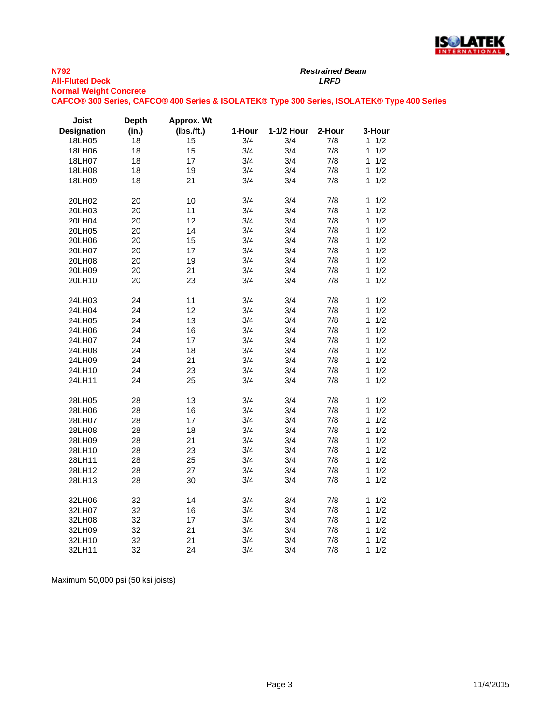

*Restrained Beam*

**Normal Weight Concrete**

**CAFCO® 300 Series, CAFCO® 400 Series & ISOLATEK® Type 300 Series, ISOLATEK® Type 400 Series**

| Joist              | <b>Depth</b> | Approx. Wt |        |            |        |                     |
|--------------------|--------------|------------|--------|------------|--------|---------------------|
| <b>Designation</b> | (in.)        | (Ibs.ft.)  | 1-Hour | 1-1/2 Hour | 2-Hour | 3-Hour              |
| 18LH05             | 18           | 15         | 3/4    | 3/4        | 7/8    | $1 \t1/2$           |
| 18LH06             | 18           | 15         | 3/4    | 3/4        | 7/8    | 1/2<br>1            |
| 18LH07             | 18           | 17         | 3/4    | 3/4        | 7/8    | 1/2<br>1            |
| 18LH08             | 18           | 19         | 3/4    | 3/4        | 7/8    | 1/2<br>1            |
| 18LH09             | 18           | 21         | 3/4    | 3/4        | 7/8    | 1/2<br>1            |
| 20LH02             | 20           | 10         | 3/4    | 3/4        | 7/8    | 1/2<br>1            |
| 20LH03             | 20           | 11         | 3/4    | 3/4        | 7/8    | 1/2<br>1            |
| 20LH04             | 20           | 12         | 3/4    | 3/4        | 7/8    | 1/2<br>1            |
| 20LH05             | 20           | 14         | 3/4    | 3/4        | 7/8    | 1/2<br>1            |
| 20LH06             | 20           | 15         | 3/4    | 3/4        | 7/8    | $\mathbf{1}$<br>1/2 |
| 20LH07             | 20           | 17         | 3/4    | 3/4        | 7/8    | 1/2<br>$\mathbf{1}$ |
| 20LH08             | 20           | 19         | 3/4    | 3/4        | 7/8    | $\mathbf{1}$<br>1/2 |
| 20LH09             | 20           | 21         | 3/4    | 3/4        | 7/8    | 1/2<br>1            |
| 20LH10             | 20           | 23         | 3/4    | 3/4        | 7/8    | 1/2<br>$\mathbf{1}$ |
| 24LH03             | 24           | 11         | 3/4    | 3/4        | 7/8    | $\mathbf{1}$<br>1/2 |
| 24LH04             | 24           | 12         | 3/4    | 3/4        | 7/8    | 1/2<br>1            |
| 24LH05             | 24           | 13         | 3/4    | 3/4        | 7/8    | 1/2<br>1            |
| 24LH06             | 24           | 16         | 3/4    | 3/4        | 7/8    | 1/2<br>$\mathbf{1}$ |
| 24LH07             | 24           | 17         | 3/4    | 3/4        | 7/8    | 1/2<br>1            |
| 24LH08             | 24           | 18         | 3/4    | 3/4        | 7/8    | 1/2<br>$\mathbf{1}$ |
| 24LH09             | 24           | 21         | 3/4    | 3/4        | 7/8    | $\mathbf{1}$<br>1/2 |
| 24LH10             | 24           | 23         | 3/4    | 3/4        | 7/8    | 1<br>1/2            |
| 24LH11             | 24           | 25         | 3/4    | 3/4        | 7/8    | 1/2<br>1            |
| 28LH05             | 28           | 13         | 3/4    | 3/4        | 7/8    | 1/2<br>1            |
| 28LH06             | 28           | 16         | 3/4    | 3/4        | 7/8    | 1/2<br>1            |
| 28LH07             | 28           | 17         | 3/4    | 3/4        | 7/8    | 1/2<br>1            |
| 28LH08             | 28           | 18         | 3/4    | 3/4        | 7/8    | 1/2<br>1            |
| 28LH09             | 28           | 21         | 3/4    | 3/4        | 7/8    | $\mathbf{1}$<br>1/2 |
| 28LH10             | 28           | 23         | 3/4    | 3/4        | 7/8    | 1/2<br>1            |
| 28LH11             | 28           | 25         | 3/4    | 3/4        | 7/8    | $\mathbf{1}$<br>1/2 |
| 28LH12             | 28           | 27         | 3/4    | 3/4        | 7/8    | 1/2<br>1            |
| 28LH13             | 28           | 30         | 3/4    | 3/4        | 7/8    | 1/2<br>$\mathbf{1}$ |
| 32LH06             | 32           | 14         | 3/4    | 3/4        | 7/8    | 1/2<br>1            |
| 32LH07             | 32           | 16         | 3/4    | 3/4        | 7/8    | 1/2<br>1            |
| 32LH08             | 32           | 17         | 3/4    | 3/4        | 7/8    | 1/2<br>1            |
| 32LH09             | 32           | 21         | 3/4    | 3/4        | 7/8    | 1/2<br>1            |
| 32LH10             | 32           | 21         | 3/4    | 3/4        | 7/8    | 1/2<br>1            |
| 32LH11             | 32           | 24         | 3/4    | 3/4        | 7/8    | 1/2<br>1            |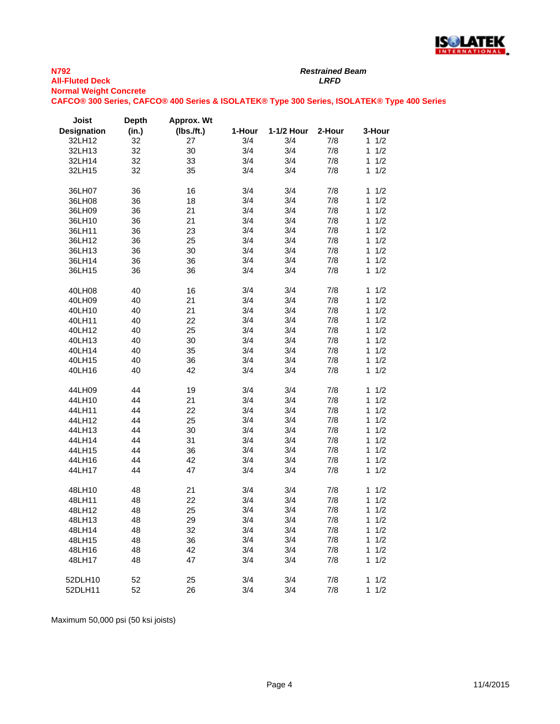

*Restrained Beam*

**Normal Weight Concrete**

**CAFCO® 300 Series, CAFCO® 400 Series & ISOLATEK® Type 300 Series, ISOLATEK® Type 400 Series**

| Joist              | <b>Depth</b> | Approx. Wt |        |            |        |                     |
|--------------------|--------------|------------|--------|------------|--------|---------------------|
| <b>Designation</b> | (in.)        | (Ibs./ft.) | 1-Hour | 1-1/2 Hour | 2-Hour | 3-Hour              |
| 32LH12             | 32           | 27         | 3/4    | 3/4        | 7/8    | $1 \t1/2$           |
| 32LH13             | 32           | 30         | 3/4    | 3/4        | 7/8    | $\mathbf{1}$<br>1/2 |
| 32LH14             | 32           | 33         | 3/4    | 3/4        | 7/8    | $\mathbf{1}$<br>1/2 |
| 32LH15             | 32           | 35         | 3/4    | 3/4        | 7/8    | 1/2<br>1            |
|                    |              |            |        |            |        |                     |
| 36LH07             | 36           | 16         | 3/4    | 3/4        | 7/8    | 1/2<br>1            |
| 36LH08             | 36           | 18         | 3/4    | 3/4        | 7/8    | 1<br>1/2            |
| 36LH09             | 36           | 21         | 3/4    | 3/4        | 7/8    | 1<br>1/2            |
| 36LH10             | 36           | 21         | 3/4    | 3/4        | 7/8    | 1<br>1/2            |
| 36LH11             | 36           | 23         | 3/4    | 3/4        | 7/8    | $\mathbf{1}$<br>1/2 |
| 36LH12             | 36           | 25         | 3/4    | 3/4        | 7/8    | 1<br>1/2            |
| 36LH13             | 36           | 30         | 3/4    | 3/4        | 7/8    | 1<br>1/2            |
| 36LH14             | 36           | 36         | 3/4    | 3/4        | 7/8    | 1/2<br>1            |
| 36LH15             | 36           | 36         | 3/4    | 3/4        | 7/8    | 1/2<br>1            |
|                    |              |            |        |            |        |                     |
| 40LH08             | 40           | 16         | 3/4    | 3/4        | 7/8    | 1/2<br>1            |
| 40LH09             | 40           | 21         | 3/4    | 3/4        | 7/8    | $\mathbf{1}$<br>1/2 |
| 40LH10             | 40           | 21         | 3/4    | 3/4        | 7/8    | 1<br>1/2            |
| 40LH11             | 40           | 22         | 3/4    | 3/4        | 7/8    | $\mathbf{1}$<br>1/2 |
| 40LH12             | 40           | 25         | 3/4    | 3/4        | 7/8    | 1/2<br>1            |
| 40LH13             | 40           | 30         | 3/4    | 3/4        | 7/8    | 1/2<br>1            |
| 40LH14             | 40           | 35         | 3/4    | 3/4        | 7/8    | 1<br>1/2            |
|                    |              |            |        |            |        | 1                   |
| 40LH15             | 40           | 36         | 3/4    | 3/4        | 7/8    | 1/2                 |
| 40LH16             | 40           | 42         | 3/4    | 3/4        | 7/8    | 1<br>1/2            |
| 44LH09             | 44           | 19         | 3/4    | 3/4        | 7/8    | 1/2<br>1            |
| 44LH10             | 44           | 21         | 3/4    | 3/4        | 7/8    | 1<br>1/2            |
| 44LH11             | 44           | 22         | 3/4    | 3/4        | 7/8    | 1/2<br>1            |
| 44LH12             | 44           | 25         | 3/4    | 3/4        | 7/8    | 1/2<br>1            |
| 44LH13             | 44           | 30         | 3/4    | 3/4        | 7/8    | 1/2<br>1            |
| 44LH14             | 44           | 31         | 3/4    | 3/4        | 7/8    | 1/2<br>1            |
|                    | 44           | 36         | 3/4    |            |        | 1/2<br>1            |
| 44LH15             | 44           | 42         | 3/4    | 3/4        | 7/8    | 1<br>1/2            |
| 44LH16             |              |            |        | 3/4        | 7/8    |                     |
| 44LH17             | 44           | 47         | 3/4    | 3/4        | 7/8    | 1/2<br>1            |
| 48LH10             | 48           | 21         | 3/4    | 3/4        | 7/8    | $1 \t1/2$           |
| 48LH11             | 48           | 22         | 3/4    | 3/4        | 7/8    | 1/2<br>1            |
| 48LH12             | 48           | 25         | 3/4    | 3/4        | 7/8    | 1/2<br>1            |
| 48LH13             | 48           | 29         | 3/4    | 3/4        | 7/8    | 1<br>1/2            |
| 48LH14             | 48           | 32         | 3/4    | 3/4        | 7/8    | 1<br>1/2            |
|                    | 48           |            |        |            |        | 1                   |
| 48LH15             | 48           | 36         | 3/4    | 3/4<br>3/4 | 7/8    | 1/2<br>1/2<br>1     |
| 48LH16             |              | 42         | 3/4    |            | 7/8    |                     |
| 48LH17             | 48           | 47         | 3/4    | 3/4        | 7/8    | 1/2<br>1            |
| 52DLH10            | 52           | 25         | 3/4    | 3/4        | 7/8    | 1<br>1/2            |
| 52DLH11            | 52           | 26         | 3/4    | 3/4        | 7/8    | 1<br>1/2            |
|                    |              |            |        |            |        |                     |